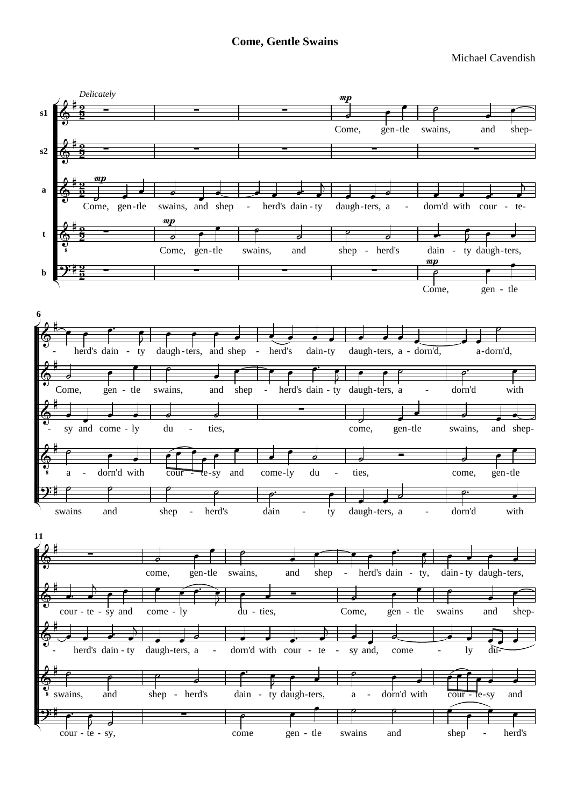Michael Cavendish

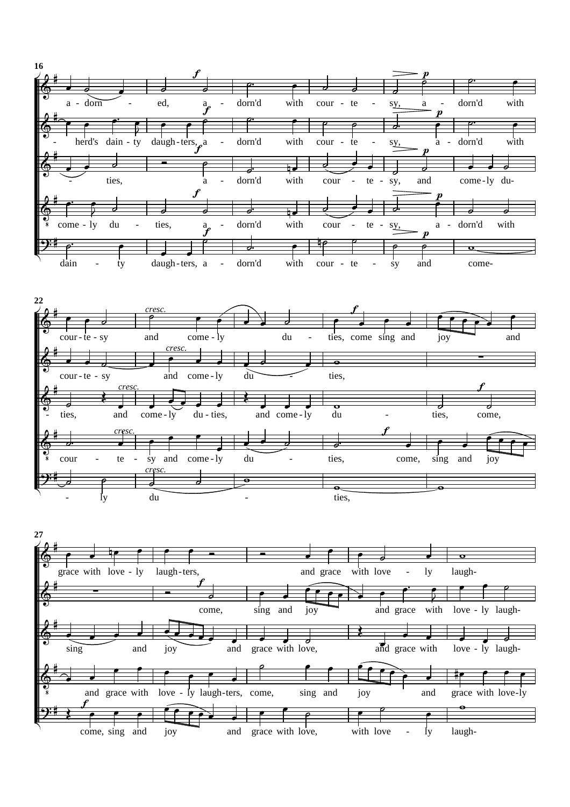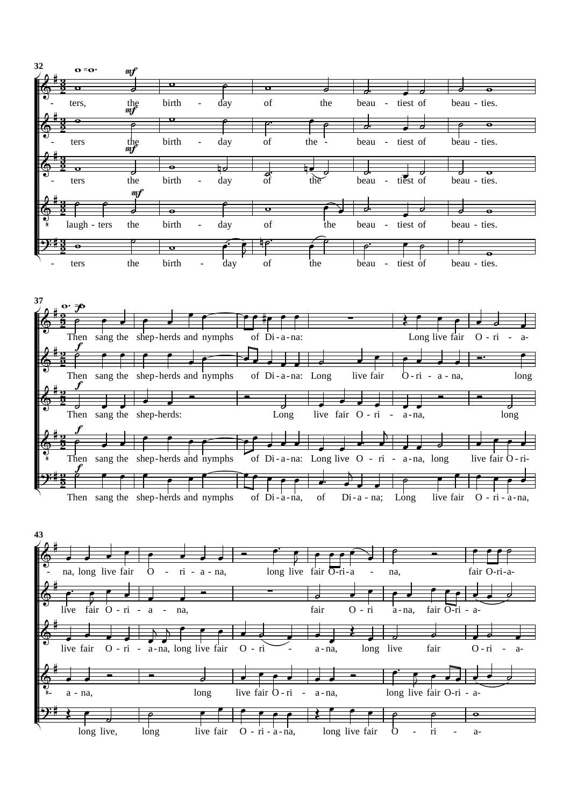